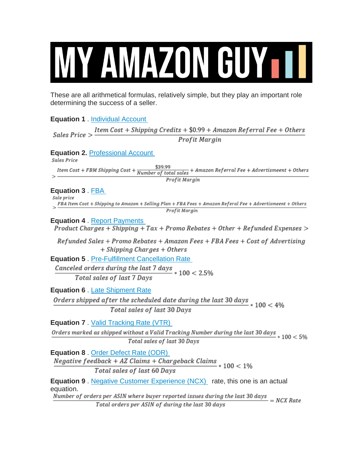# MY AMAZON GUYTT

These are all arithmetical formulas, relatively simple, but they play an important role determining the success of a seller.

**Equation 1** . [Individual Account](https://sellercentral.amazon.com/gp/help/help.html?itemID=G200399460&language=en_US)

| Item Cost + Shipping Credits + \$0.99 + Amazon Referral Fee + Others<br>Sales Price >                                                                  |
|--------------------------------------------------------------------------------------------------------------------------------------------------------|
| Profit Margin                                                                                                                                          |
| <b>Equation 2. Professional Account</b><br>Sales Price                                                                                                 |
| $Item \ Cost + FBM \ shipping \ Cost + \frac{\$39.99}{Number \ of \ total \ sales} + Amazon \ Ref \ error \ level \ Free + Adventism \ event + Others$ |
| Profit Margin                                                                                                                                          |
| Equation 3 . FBA<br>Sale price                                                                                                                         |
| $>$ FBA Item Cost + Shipping to Amazon + Selling Plan + FBA Fees + Amazon Referal Fee + Advertismeent + Others<br>Profit Margin                        |
|                                                                                                                                                        |
| <b>Equation 4. Report Payments</b><br>Product Charges + Shipping + $Tax$ + Promo Rebates + Other + Refunded Expenses >                                 |
| Refunded Sales + Promo Rebates + Amazon Fees + FBA Fees + Cost of Advertising                                                                          |
| + Shipping Charges + Others                                                                                                                            |
| <b>Equation 5. Pre-Fulfillment Cancellation Rate</b>                                                                                                   |
| Canceled orders during the last $7 \text{ days}$ * $100 < 2.5\%$                                                                                       |
| Total sales of last 7 Days                                                                                                                             |
| <b>Equation 6. Late Shipment Rate</b>                                                                                                                  |
| Orders shipped after the scheduled date during the last 30 days $*100 < 4\%$                                                                           |
| Total sales of last 30 Days                                                                                                                            |
| <b>Equation 7. Valid Tracking Rate (VTR)</b>                                                                                                           |
| Orders marked as shipped without a Valid Tracking Number during the last 30 days $*100 < 5\%$<br>Total sales of last 30 Days                           |
| Equation 8. Order Defect Rate (ODR)<br>Negative $feedback + AZ$ Claims + Chargeback Claims $* 100 < 1\%$                                               |
| Total sales of last 60 Days                                                                                                                            |
| <b>Equation 9</b> . Negative Customer Experience (NCX) rate, this one is an actual<br>equation.                                                        |
| Number of orders per ASIN where buyer reported issues during the last 30 days $= NCX$ Rate                                                             |
| Total orders per ASIN of during the last 30 days                                                                                                       |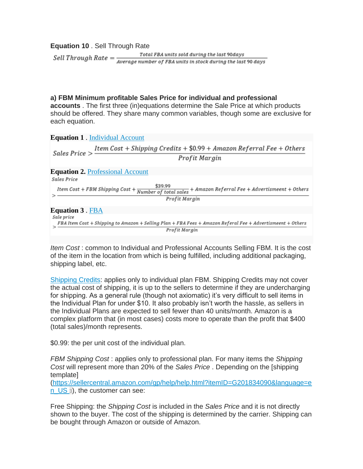**Equation 10** . Sell Through Rate

Total FBA units sold during the last 90days Sell Through Rate  $=\frac{Total \, FBA \, units \, sold \, during \, the \, last \, 90 \, days}{Average \, number \, of \, FBA \, units \, in \, stock \, during \, the \, last \, 90 \, days}$ 

**a) FBM Minimum profitable Sales Price for individual and professional** 

**accounts** . The first three (in)equations determine the Sale Price at which products should be offered. They share many common variables, though some are exclusive for each equation.

| <b>Equation 1</b> . Individual Account                                                                                       |  |
|------------------------------------------------------------------------------------------------------------------------------|--|
| $Item \ Cost + Shipping \ Credits + \$0.99 + Amazon \ Ref. [See + Others]$<br>Sales Price $>$ -                              |  |
| Profit Margin                                                                                                                |  |
| <b>Equation 2. Professional Account</b>                                                                                      |  |
| Sales Price                                                                                                                  |  |
| <i>Item Cost + FBM Shipping Cost +</i> $\frac{$39.99}{Number~of~total~sales}$ + Amazon Referral Fee + Advertismeent + Others |  |
| Profit Margin                                                                                                                |  |
| <b>Equation 3. FBA</b>                                                                                                       |  |
| Sale price                                                                                                                   |  |
| FBA Item Cost + Shipping to Amazon + Selling Plan + FBA Fees + Amazon Referal Fee + Advertismeent + Others                   |  |
| Profit Margin                                                                                                                |  |

*Item Cost* : common to Individual and Professional Accounts Selling FBM. It is the cost of the item in the location from which is being fulfilled, including additional packaging, shipping label, etc.

[Shipping Credits:](https://sellercentral.amazon.com/gp/help/help.html?itemID=201051980) applies only to individual plan FBM. Shipping Credits may not cover the actual cost of shipping, it is up to the sellers to determine if they are undercharging for shipping. As a general rule (though not axiomatic) it's very difficult to sell items in the Individual Plan for under \$10. It also probably isn't worth the hassle, as sellers in the Individual Plans are expected to sell fewer than 40 units/month. Amazon is a complex platform that (in most cases) costs more to operate than the profit that \$400 (total sales)/month represents.

\$0.99: the per unit cost of the individual plan.

*FBM Shipping Cost* : applies only to professional plan. For many items the *Shipping Cost* will represent more than 20% of the *Sales Price* . Depending on the [shipping template]

[\(https://sellercentral.amazon.com/gp/help/help.html?itemID=G201834090&language=e](https://sellercentral.amazon.com/gp/help/help.html?itemID=G201834090&language=en_US) n US 3), the customer can see:

Free Shipping: the *Shipping Cost* is included in the *Sales Price* and it is not directly shown to the buyer. The cost of the shipping is determined by the carrier. Shipping can be bought through Amazon or outside of Amazon.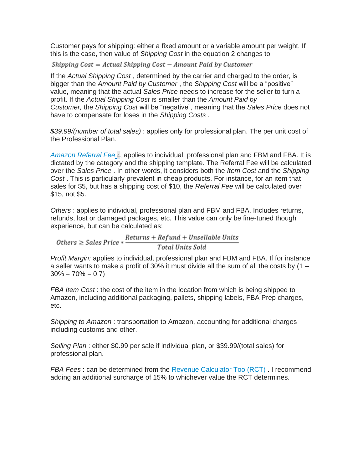Customer pays for shipping: either a fixed amount or a variable amount per weight. If this is the case, then value of *Shipping Cost* in the equation 2 changes to

Shipping  $Cost = Actual$  Shipping  $Cost - Amount$  Paid by Customer

If the *Actual Shipping Cost* , determined by the carrier and charged to the order, is bigger than the *Amount Paid by Customer* , the *Shipping Cost* will be a "positive" value, meaning that the actual *Sales Price* needs to increase for the seller to turn a profit. If the *Actual Shipping Cost* is smaller than the *Amount Paid by Customer,* the *Shipping Cost* will be "negative", meaning that the *Sales Price* does not have to compensate for loses in the *Shipping Costs* .

*\$39.99/(number of total sales)* : applies only for professional plan. The per unit cost of the Professional Plan.

*[Amazon Referral Fee](https://sellercentral.amazon.com/gp/help/GTG4BAWSY39Z98Z3)* [4](https://sellercentral.amazon.com/gp/help/GTG4BAWSY39Z98Z3), applies to individual, professional plan and FBM and FBA. It is dictated by the category and the shipping template. The Referral Fee will be calculated over the *Sales Price* . In other words, it considers both the *Item Cost* and the *Shipping Cost* . This is particularly prevalent in cheap products. For instance, for an item that sales for \$5, but has a shipping cost of \$10, the *Referral Fee* will be calculated over \$15, not \$5.

*Others* : applies to individual, professional plan and FBM and FBA. Includes returns, refunds, lost or damaged packages, etc. This value can only be fine-tuned though experience, but can be calculated as:

 $\label{thm:rel} 0 \mbox{thers} \geq Sales\,Price * \frac{Returns + Refund + Unsellabel\, Units}{Total\, Units}\,.$ 

*Profit Margin:* applies to individual, professional plan and FBM and FBA. If for instance a seller wants to make a profit of 30% it must divide all the sum of all the costs by  $(1 30\% = 70\% = 0.7$ 

*FBA Item Cost* : the cost of the item in the location from which is being shipped to Amazon, including additional packaging, pallets, shipping labels, FBA Prep charges, etc.

*Shipping to Amazon* : transportation to Amazon, accounting for additional charges including customs and other.

*Selling Plan* : either \$0.99 per sale if individual plan, or \$39.99/(total sales) for professional plan.

*FBA Fees* : can be determined from the [Revenue Calculator Too \(RCT\)](https://sellercentral.amazon.com/fba/revenuecalculator/index) . I recommend adding an additional surcharge of 15% to whichever value the RCT determines.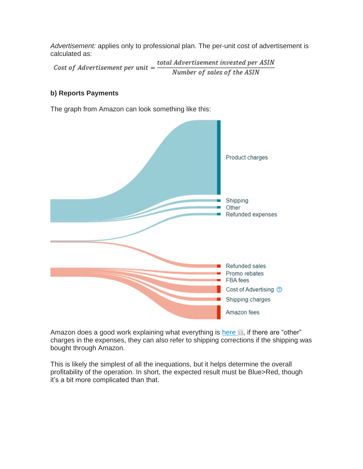*Advertisement:* applies only to professional plan. The per-unit cost of advertisement is calculated as:

total Advertisement invested per ASIN Cost of Advertisement per unit  $=$ Number of sales of the ASIN

# **b) Reports Payments**

The graph from Amazon can look something like this:



Amazon does a good work explaining what everything is [here](https://sellercentral.amazon.com/gp/help/help-popup.html?itemID=200913190) [13](https://sellercentral.amazon.com/gp/help/help-popup.html?itemID=200913190), if there are "other" charges in the expenses, they can also refer to shipping corrections if the shipping was bought through Amazon.

This is likely the simplest of all the inequations, but it helps determine the overall profitability of the operation. In short, the expected result must be Blue>Red, though it's a bit more complicated than that.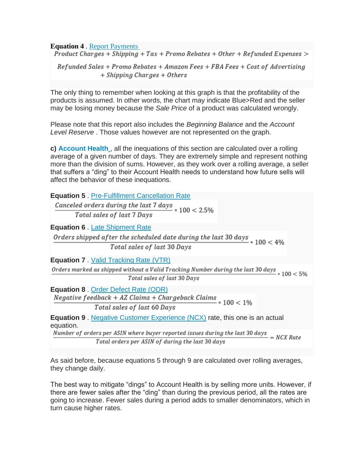**Equation 4** . <u>[Report Payments](https://sellercentral.amazon.com/gp/help/help-popup.html?itemID=200913190)</u><br>*Product Charges + Shipping + Tax + Promo Rebates + Other + Refunded Expenses* >

 $Refuned Sales + Promo Rebates + Amazon Fees + FBA Fees + Cost of Advertising$ + Shipping Charges + Others

The only thing to remember when looking at this graph is that the profitability of the products is assumed. In other words, the chart may indicate Blue>Red and the seller may be losing money because the *Sale Price* of a product was calculated wrongly.

Please note that this report also includes the *Beginning Balance* and the *Account Level Reserve* . Those values however are not represented on the graph.

**c) [Account Health](https://sellercentral.amazon.com/gp/help/help.html?itemID=G200205250&language=en_US)** , all the inequations of this section are calculated over a rolling average of a given number of days. They are extremely simple and represent nothing more than the division of sums. However, as they work over a rolling average, a seller that suffers a "ding" to their Account Health needs to understand how future sells will affect the behavior of these inequations.

| <b>Equation 5. Pre-Fulfillment Cancellation Rate</b>                                                                         |
|------------------------------------------------------------------------------------------------------------------------------|
| Canceled orders during the last $7 \text{ days}$ * $100 < 2.5\%$                                                             |
| Total sales of last 7 Days                                                                                                   |
| <b>Equation 6. Late Shipment Rate</b>                                                                                        |
| Orders shipped after the scheduled date during the last 30 days $*100 < 4\%$<br>Total sales of last 30 Days                  |
| <b>Equation 7</b> Valid Tracking Rate (VTR)                                                                                  |
| Orders marked as shipped without a Valid Tracking Number during the last 30 days $*100 < 5\%$<br>Total sales of last 30 Days |
| <b>Equation 8. Order Defect Rate (ODR)</b>                                                                                   |
| Negative $feedback + AZ$ Claims + Chargeback Claims $* 100 < 1\%$                                                            |
| Total sales of last 60 Days                                                                                                  |
| <b>Equation 9</b> . Negative Customer Experience (NCX) rate, this one is an actual<br>equation.                              |
| Number of orders per ASIN where buyer reported issues during the last 30 days $= NCX$ Rate                                   |
| Total orders per ASIN of during the last 30 days                                                                             |
|                                                                                                                              |

As said before, because equations 5 through 9 are calculated over rolling averages, they change daily.

The best way to mitigate "dings" to Account Health is by selling more units. However, if there are fewer sales after the "ding" than during the previous period, all the rates are going to increase. Fewer sales during a period adds to smaller denominators, which in turn cause higher rates.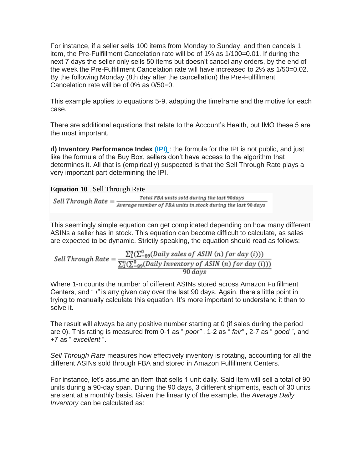For instance, if a seller sells 100 items from Monday to Sunday, and then cancels 1 item, the Pre-Fulfillment Cancelation rate will be of 1% as 1/100=0.01. If during the next 7 days the seller only sells 50 items but doesn't cancel any orders, by the end of the week the Pre-Fulfillment Cancelation rate will have increased to 2% as 1/50=0.02. By the following Monday (8th day after the cancellation) the Pre-Fulfillment Cancelation rate will be of 0% as 0/50=0.

This example applies to equations 5-9, adapting the timeframe and the motive for each case.

There are additional equations that relate to the Account's Health, but IMO these 5 are the most important.

**d) Inventory Performance Index [\(IPI\)](https://sellercentral.amazon.com/gp/help/202174810)** : the formula for the IPI is not public, and just like the formula of the Buy Box, sellers don't have access to the algorithm that determines it. All that is (empirically) suspected is that the Sell Through Rate plays a very important part determining the IPI.

## **Equation 10** . Sell Through Rate

Total FBA units sold during the last 90days Sell Through Rate  $=\frac{Total\ FBA\ units\ sold\ during\ the\ last\ 90\ days}{Average\ number\ of\ FBA\ units\ in\ stock\ during\ the\ last\ 90\ days}$ 

This seemingly simple equation can get complicated depending on how many different ASINs a seller has in stock. This equation can become difficult to calculate, as sales are expected to be dynamic. Strictly speaking, the equation should read as follows:

$$
Sell Through Rate = \frac{\sum_{1}^{n} (\sum_{-89}^{0} (Daily sales of ASIN (n) for day (i)))}{\frac{\sum_{1}^{n} (\sum_{-89}^{0} (Daily Inventory of ASIN (n) for day (i)))}{90 days}}
$$

Where 1-n counts the number of different ASINs stored across Amazon Fulfillment Centers, and " *i"* is any given day over the last 90 days. Again, there's little point in trying to manually calculate this equation. It's more important to understand it than to solve it.

The result will always be any positive number starting at 0 (if sales during the period are 0). This rating is measured from 0-1 as " *poor"* , 1-2 as " *fair"* , 2-7 as " *good* ", and +7 as " *excellent* ".

*Sell Through Rate* measures how effectively inventory is rotating, accounting for all the different ASINs sold through FBA and stored in Amazon Fulfillment Centers.

For instance, let's assume an item that sells 1 unit daily. Said item will sell a total of 90 units during a 90-day span. During the 90 days, 3 different shipments, each of 30 units are sent at a monthly basis. Given the linearity of the example, the *Average Daily Inventory* can be calculated as: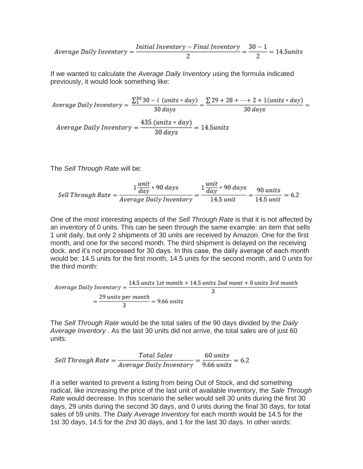$$
Average Daily Inventory = \frac{Initial\; Inventory - Final\; Inventory}{2} = \frac{30 - 1}{2} = 14.5 units
$$

If we wanted to calculate the *Average Daily Inventory* using the formula indicated previously, it would look something like:

$$
Average Daily Inventory = \frac{\sum_{1}^{30} 30 - i \ (units * day)}{30 \ days} = \frac{\sum 29 + 28 + \dots + 2 + 1 (units * day)}{30 \ days} =
$$
\n
$$
Average Daily Inventory = \frac{435 \ (units * day)}{30 \ days} = 14.5 units
$$

The *Sell Through Rate* will be:

 $\textit{Self Through Rate} = \frac{1 \frac{unit}{day} * 90 \; days}{Average \; Daily \; Inventory} = \frac{1 \frac{unit}{day} * 90 \; days}{14.5 \; unit} = \frac{90 \; units}{14.5 \; unit} = 6.2$ 

One of the most interesting aspects of the *Sell Through Rate* is that it is not affected by an inventory of 0 units. This can be seen through the same example: an item that sells 1 unit daily, but only 2 shipments of 30 units are received by Amazon. One for the first month, and one for the second month. The third shipment is delayed on the receiving dock, and it's not processed for 30 days. In this case, the daily average of each month would be: 14.5 units for the first month, 14.5 units for the second month, and 0 units for the third month:

$$
Average Daily Inventory = \frac{14.5 \text{ units 1st month} + 14.5 \text{ units 2nd month}}{3}
$$

$$
= \frac{29 \text{ units per month}}{3} = 9.66 \text{ units}
$$

The *Sell Through Rate* would be the total sales of the 90 days divided by the *Daily Average Inventory* . As the last 30 units did not arrive, the total sales are of just 60 units:

$$
Self Through Rate = \frac{Total Sales}{Average Daily Inventory} = \frac{60 \text{ units}}{9.66 \text{ units}} = 6.2
$$

If a seller wanted to prevent a listing from being Out of Stock, and did something radical, like increasing the price of the last unit of available inventory, the *Sale Through Rate* would decrease. In this scenario the seller would sell 30 units during the first 30 days, 29 units during the second 30 days, and 0 units during the final 30 days, for total sales of 59 units. The *Daily Average Inventory* for each month would be 14.5 for the 1st 30 days, 14.5 for the 2nd 30 days, and 1 for the last 30 days. In other words: